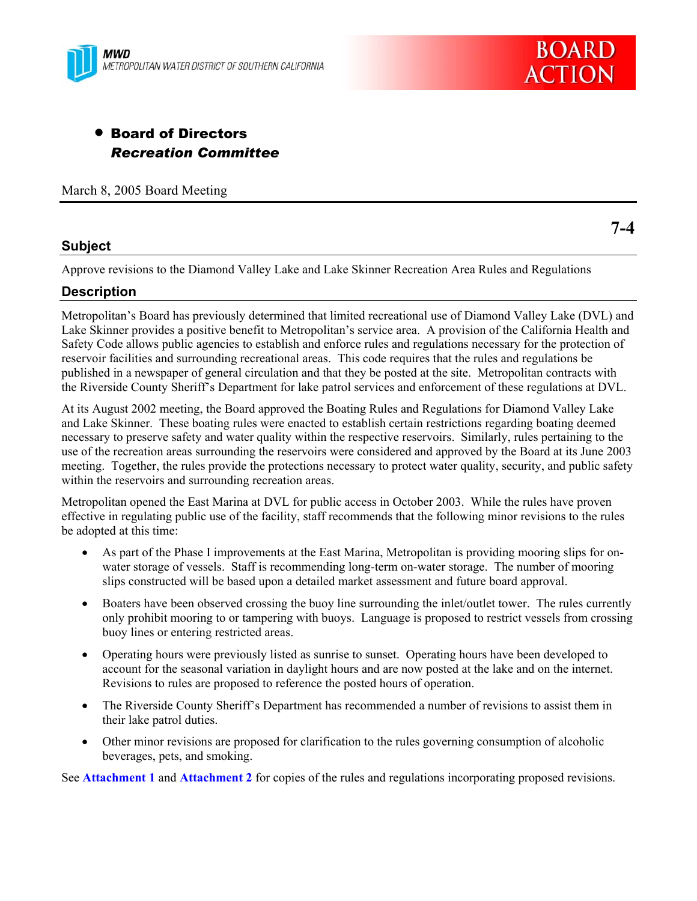



# • Board of Directors *Recreation Committee*

March 8, 2005 Board Meeting

## **Subject**

Approve revisions to the Diamond Valley Lake and Lake Skinner Recreation Area Rules and Regulations

## **Description**

Metropolitan's Board has previously determined that limited recreational use of Diamond Valley Lake (DVL) and Lake Skinner provides a positive benefit to Metropolitan's service area. A provision of the California Health and Safety Code allows public agencies to establish and enforce rules and regulations necessary for the protection of reservoir facilities and surrounding recreational areas. This code requires that the rules and regulations be published in a newspaper of general circulation and that they be posted at the site. Metropolitan contracts with the Riverside County Sheriff's Department for lake patrol services and enforcement of these regulations at DVL.

At its August 2002 meeting, the Board approved the Boating Rules and Regulations for Diamond Valley Lake and Lake Skinner. These boating rules were enacted to establish certain restrictions regarding boating deemed necessary to preserve safety and water quality within the respective reservoirs. Similarly, rules pertaining to the use of the recreation areas surrounding the reservoirs were considered and approved by the Board at its June 2003 meeting. Together, the rules provide the protections necessary to protect water quality, security, and public safety within the reservoirs and surrounding recreation areas.

Metropolitan opened the East Marina at DVL for public access in October 2003. While the rules have proven effective in regulating public use of the facility, staff recommends that the following minor revisions to the rules be adopted at this time:

- As part of the Phase I improvements at the East Marina, Metropolitan is providing mooring slips for onwater storage of vessels. Staff is recommending long-term on-water storage. The number of mooring slips constructed will be based upon a detailed market assessment and future board approval.
- Boaters have been observed crossing the buoy line surrounding the inlet/outlet tower. The rules currently only prohibit mooring to or tampering with buoys. Language is proposed to restrict vessels from crossing buoy lines or entering restricted areas.
- Operating hours were previously listed as sunrise to sunset. Operating hours have been developed to account for the seasonal variation in daylight hours and are now posted at the lake and on the internet. Revisions to rules are proposed to reference the posted hours of operation.
- The Riverside County Sheriff's Department has recommended a number of revisions to assist them in their lake patrol duties.
- Other minor revisions are proposed for clarification to the rules governing consumption of alcoholic beverages, pets, and smoking.

See **Attachment 1** and **Attachment 2** for copies of the rules and regulations incorporating proposed revisions.

**7-4**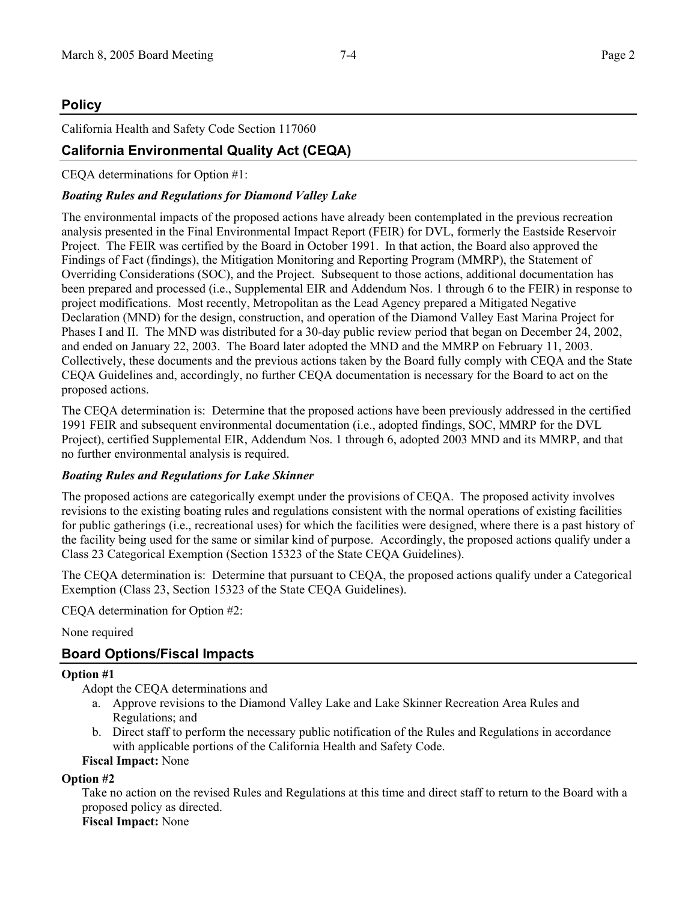## **Policy**

California Health and Safety Code Section 117060

## **California Environmental Quality Act (CEQA)**

CEQA determinations for Option #1:

#### *Boating Rules and Regulations for Diamond Valley Lake*

The environmental impacts of the proposed actions have already been contemplated in the previous recreation analysis presented in the Final Environmental Impact Report (FEIR) for DVL, formerly the Eastside Reservoir Project. The FEIR was certified by the Board in October 1991. In that action, the Board also approved the Findings of Fact (findings), the Mitigation Monitoring and Reporting Program (MMRP), the Statement of Overriding Considerations (SOC), and the Project. Subsequent to those actions, additional documentation has been prepared and processed (i.e., Supplemental EIR and Addendum Nos. 1 through 6 to the FEIR) in response to project modifications. Most recently, Metropolitan as the Lead Agency prepared a Mitigated Negative Declaration (MND) for the design, construction, and operation of the Diamond Valley East Marina Project for Phases I and II. The MND was distributed for a 30-day public review period that began on December 24, 2002, and ended on January 22, 2003. The Board later adopted the MND and the MMRP on February 11, 2003. Collectively, these documents and the previous actions taken by the Board fully comply with CEQA and the State CEQA Guidelines and, accordingly, no further CEQA documentation is necessary for the Board to act on the proposed actions.

The CEQA determination is: Determine that the proposed actions have been previously addressed in the certified 1991 FEIR and subsequent environmental documentation (i.e., adopted findings, SOC, MMRP for the DVL Project), certified Supplemental EIR, Addendum Nos. 1 through 6, adopted 2003 MND and its MMRP, and that no further environmental analysis is required.

#### *Boating Rules and Regulations for Lake Skinner*

The proposed actions are categorically exempt under the provisions of CEQA. The proposed activity involves revisions to the existing boating rules and regulations consistent with the normal operations of existing facilities for public gatherings (i.e., recreational uses) for which the facilities were designed, where there is a past history of the facility being used for the same or similar kind of purpose. Accordingly, the proposed actions qualify under a Class 23 Categorical Exemption (Section 15323 of the State CEQA Guidelines).

The CEQA determination is: Determine that pursuant to CEQA, the proposed actions qualify under a Categorical Exemption (Class 23, Section 15323 of the State CEQA Guidelines).

CEQA determination for Option #2:

#### None required

## **Board Options/Fiscal Impacts**

#### **Option #1**

Adopt the CEQA determinations and

- a. Approve revisions to the Diamond Valley Lake and Lake Skinner Recreation Area Rules and Regulations; and
- b. Direct staff to perform the necessary public notification of the Rules and Regulations in accordance with applicable portions of the California Health and Safety Code.

#### **Fiscal Impact:** None

#### **Option #2**

Take no action on the revised Rules and Regulations at this time and direct staff to return to the Board with a proposed policy as directed.

## **Fiscal Impact:** None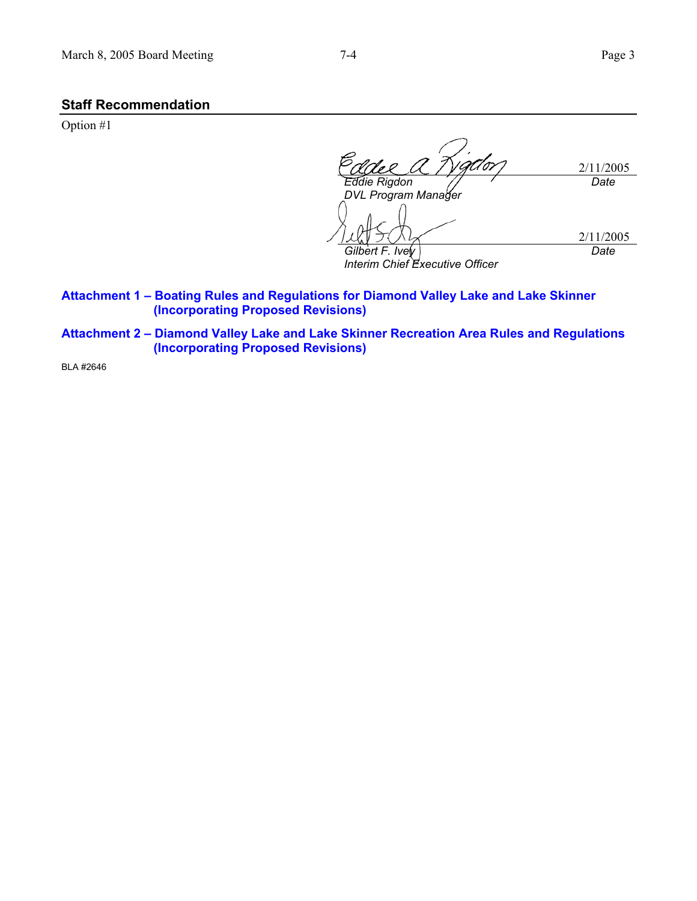#### **Staff Recommendation**

Option #1

2/11/2005 *Eddie Rigdon DVL Program Manager Date*  2/11/2005 *Gilbert F. Ivey Interim Chief Executive Officer Date* 

- **Attachment 1 Boating Rules and Regulations for Diamond Valley Lake and Lake Skinner (Incorporating Proposed Revisions)**
- **Attachment 2 Diamond Valley Lake and Lake Skinner Recreation Area Rules and Regulations (Incorporating Proposed Revisions)**

BLA #2646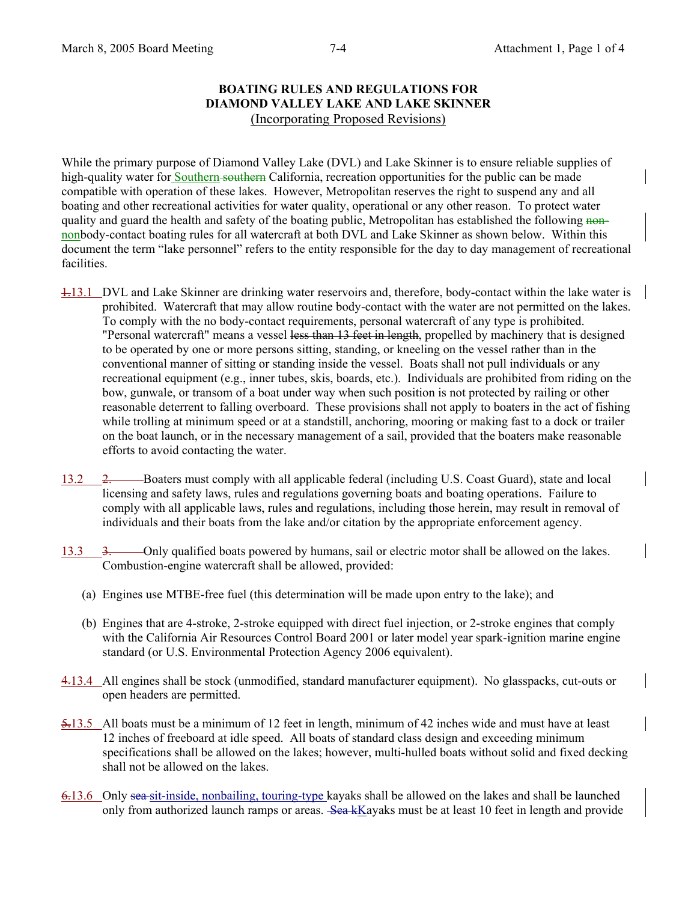#### **BOATING RULES AND REGULATIONS FOR DIAMOND VALLEY LAKE AND LAKE SKINNER**  (Incorporating Proposed Revisions)

While the primary purpose of Diamond Valley Lake (DVL) and Lake Skinner is to ensure reliable supplies of high-quality water for Southern southern California, recreation opportunities for the public can be made compatible with operation of these lakes. However, Metropolitan reserves the right to suspend any and all boating and other recreational activities for water quality, operational or any other reason. To protect water quality and guard the health and safety of the boating public, Metropolitan has established the following nonnonbody-contact boating rules for all watercraft at both DVL and Lake Skinner as shown below. Within this document the term "lake personnel" refers to the entity responsible for the day to day management of recreational facilities.

- 1.13.1 DVL and Lake Skinner are drinking water reservoirs and, therefore, body-contact within the lake water is prohibited. Watercraft that may allow routine body-contact with the water are not permitted on the lakes. To comply with the no body-contact requirements, personal watercraft of any type is prohibited. "Personal watercraft" means a vessel less than 13 feet in length, propelled by machinery that is designed to be operated by one or more persons sitting, standing, or kneeling on the vessel rather than in the conventional manner of sitting or standing inside the vessel. Boats shall not pull individuals or any recreational equipment (e.g., inner tubes, skis, boards, etc.). Individuals are prohibited from riding on the bow, gunwale, or transom of a boat under way when such position is not protected by railing or other reasonable deterrent to falling overboard. These provisions shall not apply to boaters in the act of fishing while trolling at minimum speed or at a standstill, anchoring, mooring or making fast to a dock or trailer on the boat launch, or in the necessary management of a sail, provided that the boaters make reasonable efforts to avoid contacting the water.
- 13.2 2. Boaters must comply with all applicable federal (including U.S. Coast Guard), state and local licensing and safety laws, rules and regulations governing boats and boating operations. Failure to comply with all applicable laws, rules and regulations, including those herein, may result in removal of individuals and their boats from the lake and/or citation by the appropriate enforcement agency.
- 13.3 3. Only qualified boats powered by humans, sail or electric motor shall be allowed on the lakes. Combustion-engine watercraft shall be allowed, provided:
	- (a) Engines use MTBE-free fuel (this determination will be made upon entry to the lake); and
	- (b) Engines that are 4-stroke, 2-stroke equipped with direct fuel injection, or 2-stroke engines that comply with the California Air Resources Control Board 2001 or later model year spark-ignition marine engine standard (or U.S. Environmental Protection Agency 2006 equivalent).
- 4.13.4 All engines shall be stock (unmodified, standard manufacturer equipment). No glasspacks, cut-outs or open headers are permitted.
- 5.13.5 All boats must be a minimum of 12 feet in length, minimum of 42 inches wide and must have at least 12 inches of freeboard at idle speed. All boats of standard class design and exceeding minimum specifications shall be allowed on the lakes; however, multi-hulled boats without solid and fixed decking shall not be allowed on the lakes.
- 6.13.6 Only sea sit-inside, nonbailing, touring-type kayaks shall be allowed on the lakes and shall be launched only from authorized launch ramps or areas. Sea kKayaks must be at least 10 feet in length and provide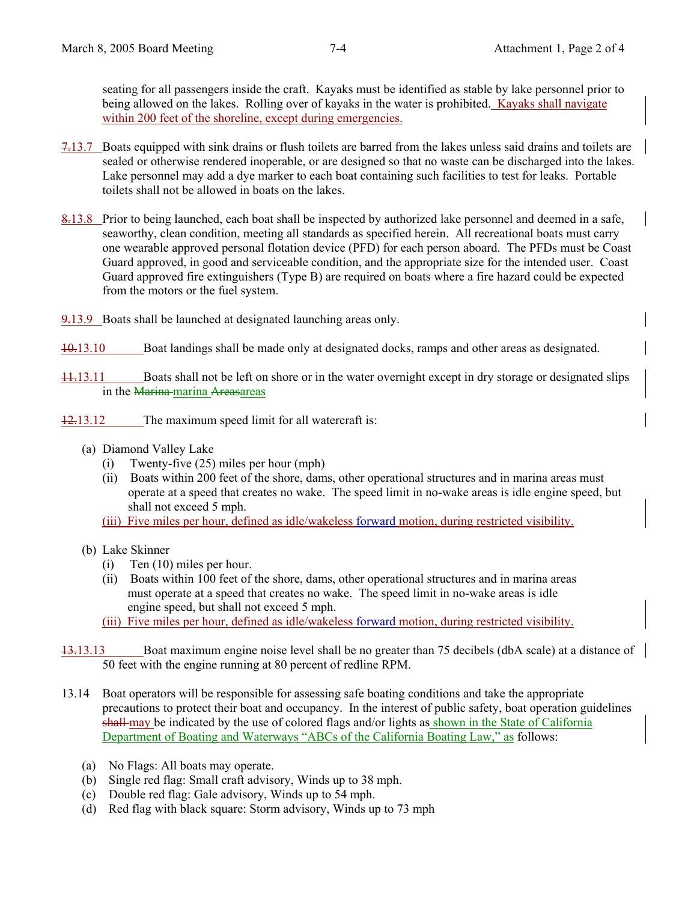seating for all passengers inside the craft. Kayaks must be identified as stable by lake personnel prior to being allowed on the lakes. Rolling over of kayaks in the water is prohibited. Kayaks shall navigate within 200 feet of the shoreline, except during emergencies.

- 7.13.7 Boats equipped with sink drains or flush toilets are barred from the lakes unless said drains and toilets are sealed or otherwise rendered inoperable, or are designed so that no waste can be discharged into the lakes. Lake personnel may add a dye marker to each boat containing such facilities to test for leaks. Portable toilets shall not be allowed in boats on the lakes.
- 8.13.8 Prior to being launched, each boat shall be inspected by authorized lake personnel and deemed in a safe, seaworthy, clean condition, meeting all standards as specified herein. All recreational boats must carry one wearable approved personal flotation device (PFD) for each person aboard. The PFDs must be Coast Guard approved, in good and serviceable condition, and the appropriate size for the intended user. Coast Guard approved fire extinguishers (Type B) are required on boats where a fire hazard could be expected from the motors or the fuel system.
- 9.13.9 Boats shall be launched at designated launching areas only.
- 10.13.10 Boat landings shall be made only at designated docks, ramps and other areas as designated.
- 11.13.11 Boats shall not be left on shore or in the water overnight except in dry storage or designated slips in the Marina-marina Areasareas
- 12.13.12 The maximum speed limit for all watercraft is:
	- (a) Diamond Valley Lake
		- (i) Twenty-five (25) miles per hour (mph)
		- (ii) Boats within 200 feet of the shore, dams, other operational structures and in marina areas must operate at a speed that creates no wake. The speed limit in no-wake areas is idle engine speed, but shall not exceed 5 mph.
		- (iii) Five miles per hour, defined as idle/wakeless forward motion, during restricted visibility.
	- (b) Lake Skinner
		- (i) Ten (10) miles per hour.
		- (ii) Boats within 100 feet of the shore, dams, other operational structures and in marina areas must operate at a speed that creates no wake. The speed limit in no-wake areas is idle engine speed, but shall not exceed 5 mph.

(iii) Five miles per hour, defined as idle/wakeless forward motion, during restricted visibility.

- 13.13.13 Boat maximum engine noise level shall be no greater than 75 decibels (dbA scale) at a distance of 50 feet with the engine running at 80 percent of redline RPM.
- 13.14 Boat operators will be responsible for assessing safe boating conditions and take the appropriate precautions to protect their boat and occupancy. In the interest of public safety, boat operation guidelines shall-may be indicated by the use of colored flags and/or lights as shown in the State of California Department of Boating and Waterways "ABCs of the California Boating Law," as follows:
	- (a) No Flags: All boats may operate.
	- (b) Single red flag: Small craft advisory, Winds up to 38 mph.
	- (c) Double red flag: Gale advisory, Winds up to 54 mph.
	- (d) Red flag with black square: Storm advisory, Winds up to 73 mph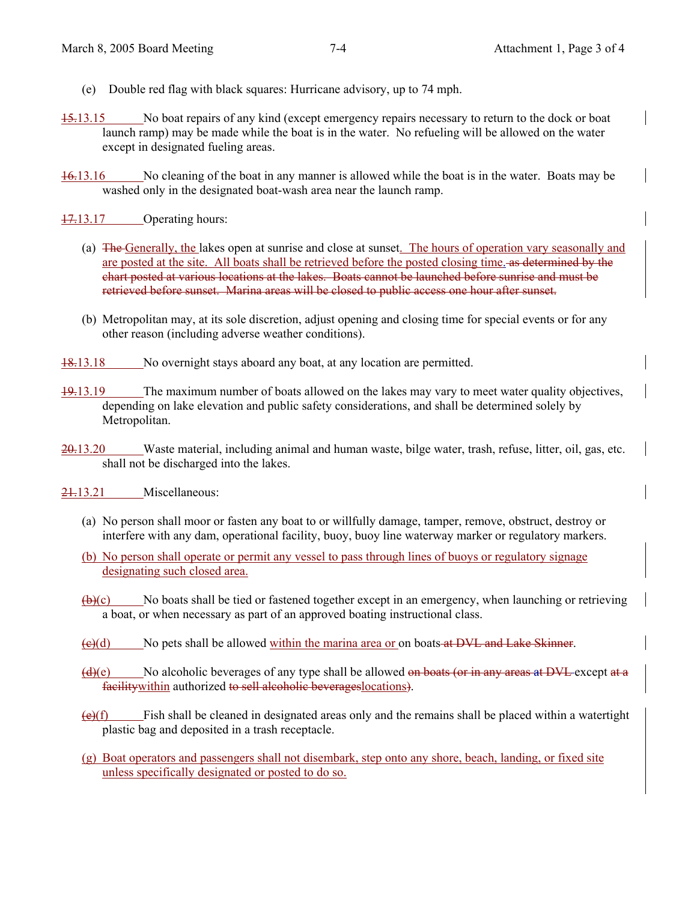- (e) Double red flag with black squares: Hurricane advisory, up to 74 mph.
- 15.13.15 No boat repairs of any kind (except emergency repairs necessary to return to the dock or boat launch ramp) may be made while the boat is in the water. No refueling will be allowed on the water except in designated fueling areas.
- 16.13.16 No cleaning of the boat in any manner is allowed while the boat is in the water. Boats may be washed only in the designated boat-wash area near the launch ramp.
- 17.13.17 Operating hours:
	- (a) The Generally, the lakes open at sunrise and close at sunset. The hours of operation vary seasonally and are posted at the site. All boats shall be retrieved before the posted closing time. As determined by the chart posted at various locations at the lakes. Boats cannot be launched before sunrise and must be retrieved before sunset. Marina areas will be closed to public access one hour after sunset.
	- (b) Metropolitan may, at its sole discretion, adjust opening and closing time for special events or for any other reason (including adverse weather conditions).
- 18.13.18 No overnight stays aboard any boat, at any location are permitted.
- 19.13.19 The maximum number of boats allowed on the lakes may vary to meet water quality objectives, depending on lake elevation and public safety considerations, and shall be determined solely by Metropolitan.
- $20.13.20$  Waste material, including animal and human waste, bilge water, trash, refuse, litter, oil, gas, etc. shall not be discharged into the lakes.
- 21.13.21 Miscellaneous:
	- (a) No person shall moor or fasten any boat to or willfully damage, tamper, remove, obstruct, destroy or interfere with any dam, operational facility, buoy, buoy line waterway marker or regulatory markers.
	- (b) No person shall operate or permit any vessel to pass through lines of buoys or regulatory signage designating such closed area.
	- $(b)(c)$  No boats shall be tied or fastened together except in an emergency, when launching or retrieving a boat, or when necessary as part of an approved boating instructional class.
	- $(\epsilon)$ (d) No pets shall be allowed within the marina area or on boats at DVL and Lake Skinner.
	- $(d)$ (e) No alcoholic beverages of any type shall be allowed on boats (or in any areas at DVL except at a facility within authorized to sell alcoholic beverages locations).
	- $(e)(f)$  Fish shall be cleaned in designated areas only and the remains shall be placed within a watertight plastic bag and deposited in a trash receptacle.
	- (g) Boat operators and passengers shall not disembark, step onto any shore, beach, landing, or fixed site unless specifically designated or posted to do so.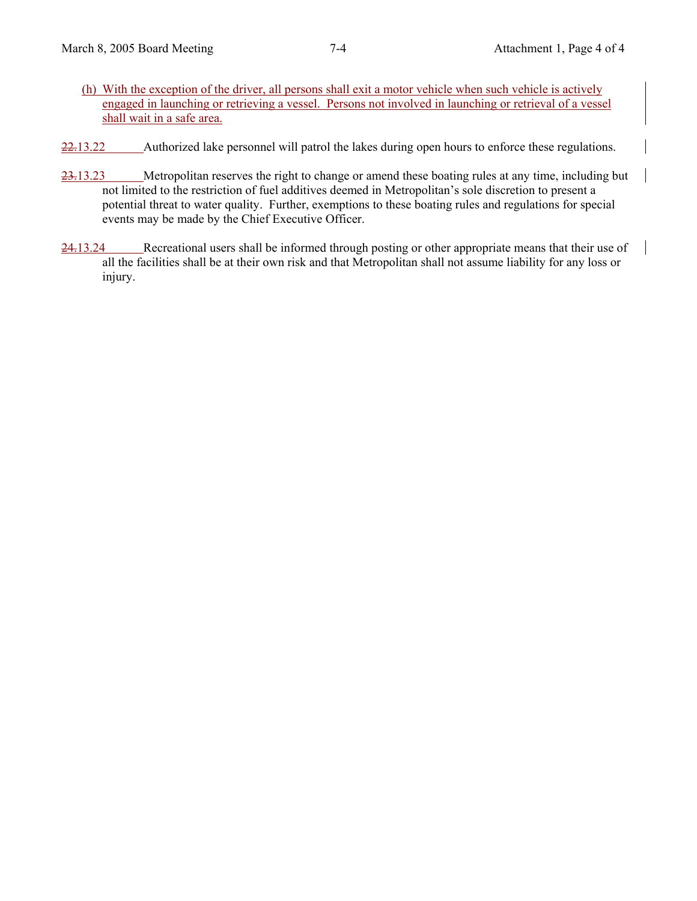- (h) With the exception of the driver, all persons shall exit a motor vehicle when such vehicle is actively engaged in launching or retrieving a vessel. Persons not involved in launching or retrieval of a vessel shall wait in a safe area.
- $22.13.22$  Authorized lake personnel will patrol the lakes during open hours to enforce these regulations.
- 23.13.23 Metropolitan reserves the right to change or amend these boating rules at any time, including but not limited to the restriction of fuel additives deemed in Metropolitan's sole discretion to present a potential threat to water quality. Further, exemptions to these boating rules and regulations for special events may be made by the Chief Executive Officer.
- 24.13.24 Recreational users shall be informed through posting or other appropriate means that their use of all the facilities shall be at their own risk and that Metropolitan shall not assume liability for any loss or injury.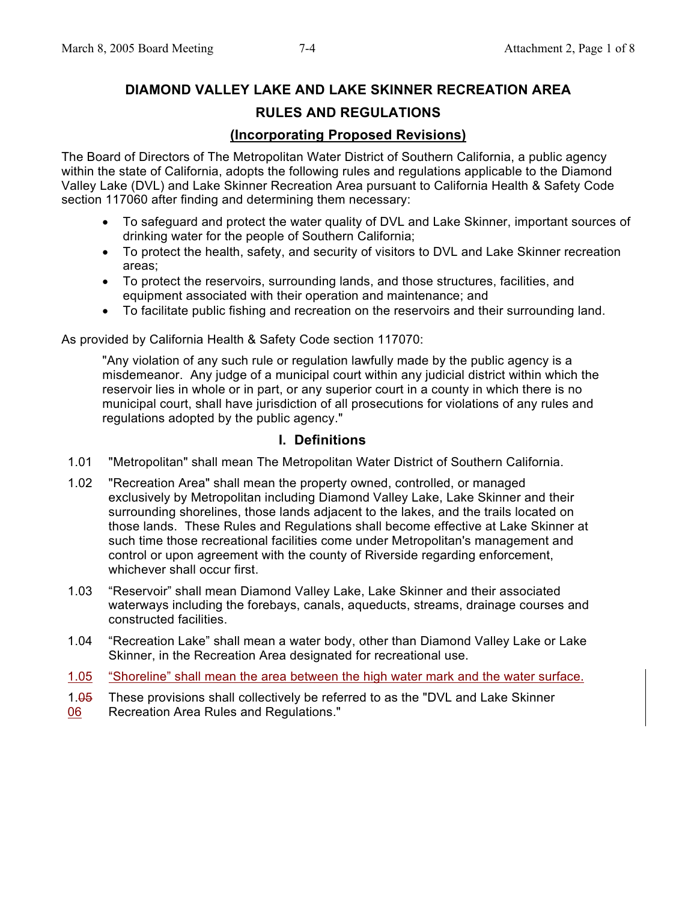# **DIAMOND VALLEY LAKE AND LAKE SKINNER RECREATION AREA RULES AND REGULATIONS**

## **(Incorporating Proposed Revisions)**

The Board of Directors of The Metropolitan Water District of Southern California, a public agency within the state of California, adopts the following rules and regulations applicable to the Diamond Valley Lake (DVL) and Lake Skinner Recreation Area pursuant to California Health & Safety Code section 117060 after finding and determining them necessary:

- To safeguard and protect the water quality of DVL and Lake Skinner, important sources of drinking water for the people of Southern California;
- To protect the health, safety, and security of visitors to DVL and Lake Skinner recreation areas;
- To protect the reservoirs, surrounding lands, and those structures, facilities, and equipment associated with their operation and maintenance; and
- To facilitate public fishing and recreation on the reservoirs and their surrounding land.

As provided by California Health & Safety Code section 117070:

"Any violation of any such rule or regulation lawfully made by the public agency is a misdemeanor. Any judge of a municipal court within any judicial district within which the reservoir lies in whole or in part, or any superior court in a county in which there is no municipal court, shall have jurisdiction of all prosecutions for violations of any rules and regulations adopted by the public agency."

## **I. Definitions**

- 1.01 "Metropolitan" shall mean The Metropolitan Water District of Southern California.
- 1.02 "Recreation Area" shall mean the property owned, controlled, or managed exclusively by Metropolitan including Diamond Valley Lake, Lake Skinner and their surrounding shorelines, those lands adjacent to the lakes, and the trails located on those lands. These Rules and Regulations shall become effective at Lake Skinner at such time those recreational facilities come under Metropolitan's management and control or upon agreement with the county of Riverside regarding enforcement, whichever shall occur first.
- 1.03 "Reservoir" shall mean Diamond Valley Lake, Lake Skinner and their associated waterways including the forebays, canals, aqueducts, streams, drainage courses and constructed facilities.
- 1.04 "Recreation Lake" shall mean a water body, other than Diamond Valley Lake or Lake Skinner, in the Recreation Area designated for recreational use.
- 1.05 "Shoreline" shall mean the area between the high water mark and the water surface.
- 1.05 06 These provisions shall collectively be referred to as the "DVL and Lake Skinner Recreation Area Rules and Regulations."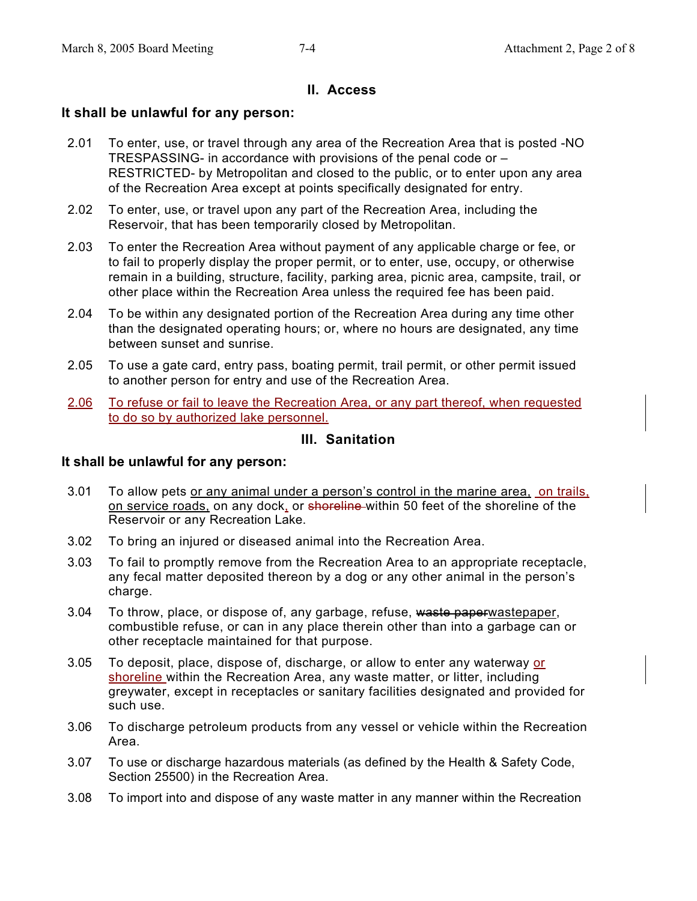## **II. Access**

## **It shall be unlawful for any person:**

- 2.01 To enter, use, or travel through any area of the Recreation Area that is posted -NO TRESPASSING- in accordance with provisions of the penal code or – RESTRICTED- by Metropolitan and closed to the public, or to enter upon any area of the Recreation Area except at points specifically designated for entry.
- 2.02 To enter, use, or travel upon any part of the Recreation Area, including the Reservoir, that has been temporarily closed by Metropolitan.
- 2.03 To enter the Recreation Area without payment of any applicable charge or fee, or to fail to properly display the proper permit, or to enter, use, occupy, or otherwise remain in a building, structure, facility, parking area, picnic area, campsite, trail, or other place within the Recreation Area unless the required fee has been paid.
- 2.04 To be within any designated portion of the Recreation Area during any time other than the designated operating hours; or, where no hours are designated, any time between sunset and sunrise.
- 2.05 To use a gate card, entry pass, boating permit, trail permit, or other permit issued to another person for entry and use of the Recreation Area.
- 2.06 To refuse or fail to leave the Recreation Area, or any part thereof, when requested to do so by authorized lake personnel.

## **III. Sanitation**

- 3.01 To allow pets or any animal under a person's control in the marine area, on trails, on service roads, on any dock, or shoreline within 50 feet of the shoreline of the Reservoir or any Recreation Lake.
- 3.02 To bring an injured or diseased animal into the Recreation Area.
- 3.03 To fail to promptly remove from the Recreation Area to an appropriate receptacle, any fecal matter deposited thereon by a dog or any other animal in the person's charge.
- 3.04 To throw, place, or dispose of, any garbage, refuse, waste paperwastepaper, combustible refuse, or can in any place therein other than into a garbage can or other receptacle maintained for that purpose.
- 3.05 To deposit, place, dispose of, discharge, or allow to enter any waterway or shoreline within the Recreation Area, any waste matter, or litter, including greywater, except in receptacles or sanitary facilities designated and provided for such use.
- 3.06 To discharge petroleum products from any vessel or vehicle within the Recreation Area.
- 3.07 To use or discharge hazardous materials (as defined by the Health & Safety Code, Section 25500) in the Recreation Area.
- 3.08 To import into and dispose of any waste matter in any manner within the Recreation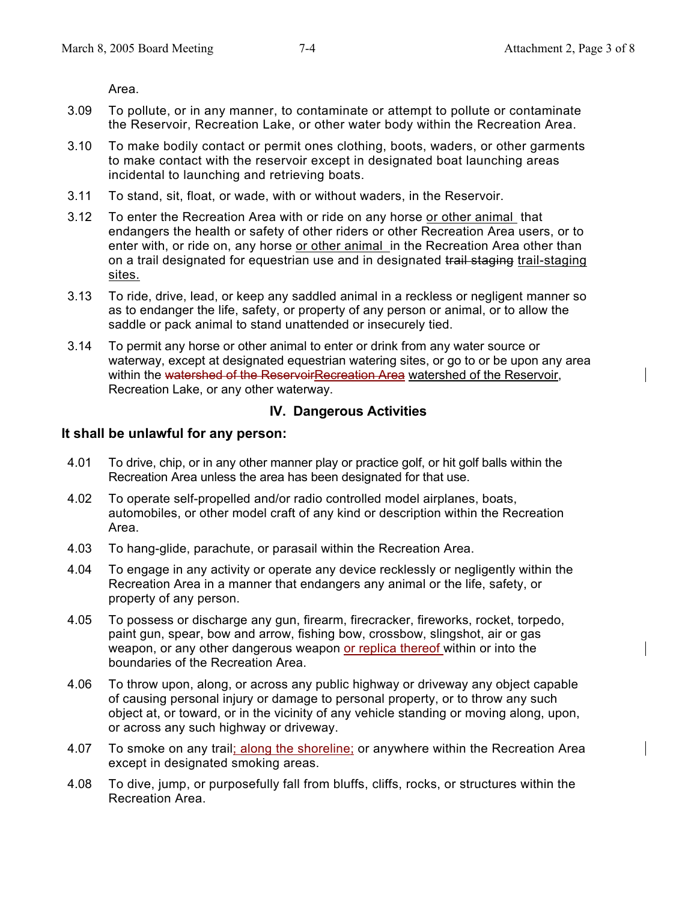Area.

- 3.09 To pollute, or in any manner, to contaminate or attempt to pollute or contaminate the Reservoir, Recreation Lake, or other water body within the Recreation Area.
- 3.10 To make bodily contact or permit ones clothing, boots, waders, or other garments to make contact with the reservoir except in designated boat launching areas incidental to launching and retrieving boats.
- 3.11 To stand, sit, float, or wade, with or without waders, in the Reservoir.
- 3.12 To enter the Recreation Area with or ride on any horse or other animal that endangers the health or safety of other riders or other Recreation Area users, or to enter with, or ride on, any horse or other animal in the Recreation Area other than on a trail designated for equestrian use and in designated trail staging trail-staging sites.
- 3.13 To ride, drive, lead, or keep any saddled animal in a reckless or negligent manner so as to endanger the life, safety, or property of any person or animal, or to allow the saddle or pack animal to stand unattended or insecurely tied.
- 3.14 To permit any horse or other animal to enter or drink from any water source or waterway, except at designated equestrian watering sites, or go to or be upon any area within the watershed of the ReservoirRecreation Area watershed of the Reservoir, Recreation Lake, or any other waterway.

### **IV. Dangerous Activities**

- 4.01 To drive, chip, or in any other manner play or practice golf, or hit golf balls within the Recreation Area unless the area has been designated for that use.
- 4.02 To operate self-propelled and/or radio controlled model airplanes, boats, automobiles, or other model craft of any kind or description within the Recreation Area.
- 4.03 To hang-glide, parachute, or parasail within the Recreation Area.
- 4.04 To engage in any activity or operate any device recklessly or negligently within the Recreation Area in a manner that endangers any animal or the life, safety, or property of any person.
- 4.05 To possess or discharge any gun, firearm, firecracker, fireworks, rocket, torpedo, paint gun, spear, bow and arrow, fishing bow, crossbow, slingshot, air or gas weapon, or any other dangerous weapon or replica thereof within or into the boundaries of the Recreation Area.
- 4.06 To throw upon, along, or across any public highway or driveway any object capable of causing personal injury or damage to personal property, or to throw any such object at, or toward, or in the vicinity of any vehicle standing or moving along, upon, or across any such highway or driveway.
- 4.07 To smoke on any trail; along the shoreline; or anywhere within the Recreation Area except in designated smoking areas.
- 4.08 To dive, jump, or purposefully fall from bluffs, cliffs, rocks, or structures within the Recreation Area.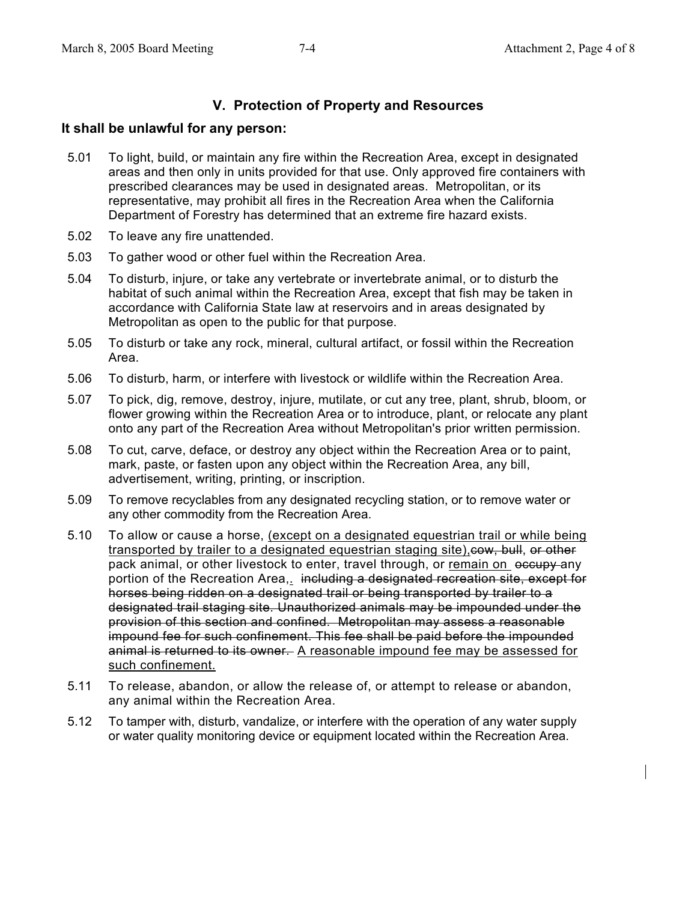## **V. Protection of Property and Resources**

- 5.01 To light, build, or maintain any fire within the Recreation Area, except in designated areas and then only in units provided for that use. Only approved fire containers with prescribed clearances may be used in designated areas. Metropolitan, or its representative, may prohibit all fires in the Recreation Area when the California Department of Forestry has determined that an extreme fire hazard exists.
- 5.02 To leave any fire unattended.
- 5.03 To gather wood or other fuel within the Recreation Area.
- 5.04 To disturb, injure, or take any vertebrate or invertebrate animal, or to disturb the habitat of such animal within the Recreation Area, except that fish may be taken in accordance with California State law at reservoirs and in areas designated by Metropolitan as open to the public for that purpose.
- 5.05 To disturb or take any rock, mineral, cultural artifact, or fossil within the Recreation Area.
- 5.06 To disturb, harm, or interfere with livestock or wildlife within the Recreation Area.
- 5.07 To pick, dig, remove, destroy, injure, mutilate, or cut any tree, plant, shrub, bloom, or flower growing within the Recreation Area or to introduce, plant, or relocate any plant onto any part of the Recreation Area without Metropolitan's prior written permission.
- 5.08 To cut, carve, deface, or destroy any object within the Recreation Area or to paint, mark, paste, or fasten upon any object within the Recreation Area, any bill, advertisement, writing, printing, or inscription.
- 5.09 To remove recyclables from any designated recycling station, or to remove water or any other commodity from the Recreation Area.
- 5.10 To allow or cause a horse, (except on a designated equestrian trail or while being transported by trailer to a designated equestrian staging site), cow, bull, or other pack animal, or other livestock to enter, travel through, or remain on eccupy any portion of the Recreation Area, including a designated recreation site, except for horses being ridden on a designated trail or being transported by trailer to a designated trail staging site. Unauthorized animals may be impounded under the provision of this section and confined. Metropolitan may assess a reasonable impound fee for such confinement. This fee shall be paid before the impounded animal is returned to its owner. A reasonable impound fee may be assessed for such confinement.
- 5.11 To release, abandon, or allow the release of, or attempt to release or abandon, any animal within the Recreation Area.
- 5.12 To tamper with, disturb, vandalize, or interfere with the operation of any water supply or water quality monitoring device or equipment located within the Recreation Area.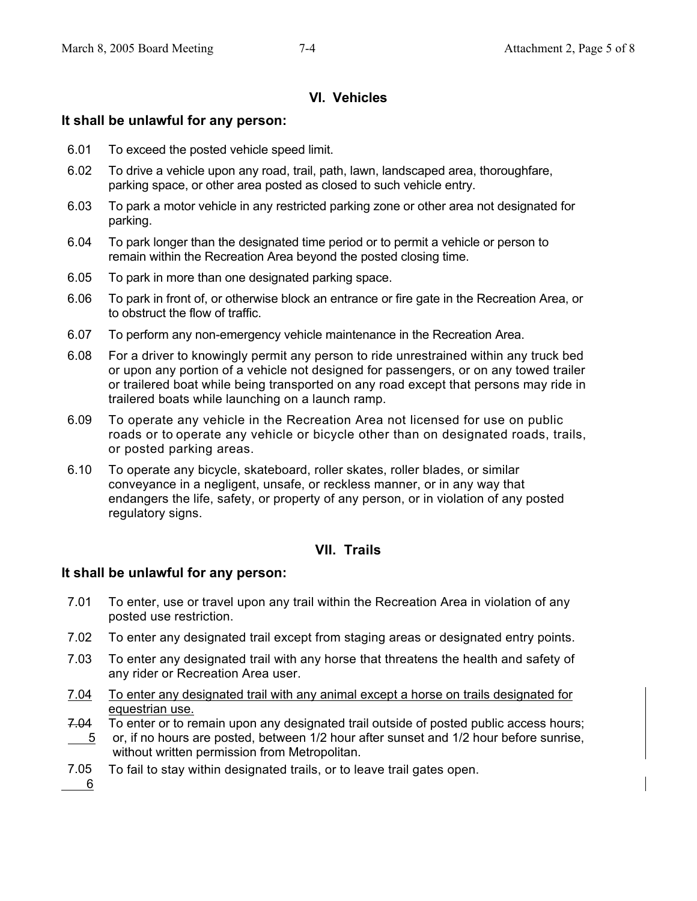## **VI. Vehicles**

## **It shall be unlawful for any person:**

- 6.01 To exceed the posted vehicle speed limit.
- 6.02 To drive a vehicle upon any road, trail, path, lawn, landscaped area, thoroughfare, parking space, or other area posted as closed to such vehicle entry.
- 6.03 To park a motor vehicle in any restricted parking zone or other area not designated for parking.
- 6.04 To park longer than the designated time period or to permit a vehicle or person to remain within the Recreation Area beyond the posted closing time.
- 6.05 To park in more than one designated parking space.
- 6.06 To park in front of, or otherwise block an entrance or fire gate in the Recreation Area, or to obstruct the flow of traffic.
- 6.07 To perform any non-emergency vehicle maintenance in the Recreation Area.
- 6.08 For a driver to knowingly permit any person to ride unrestrained within any truck bed or upon any portion of a vehicle not designed for passengers, or on any towed trailer or trailered boat while being transported on any road except that persons may ride in trailered boats while launching on a launch ramp.
- 6.09 To operate any vehicle in the Recreation Area not licensed for use on public roads or to operate any vehicle or bicycle other than on designated roads, trails, or posted parking areas.
- 6.10 To operate any bicycle, skateboard, roller skates, roller blades, or similar conveyance in a negligent, unsafe, or reckless manner, or in any way that endangers the life, safety, or property of any person, or in violation of any posted regulatory signs.

## **VII. Trails**

#### **It shall be unlawful for any person:**

- 7.01 To enter, use or travel upon any trail within the Recreation Area in violation of any posted use restriction.
- 7.02 To enter any designated trail except from staging areas or designated entry points.
- 7.03 To enter any designated trail with any horse that threatens the health and safety of any rider or Recreation Area user.
- 7.04 To enter any designated trail with any animal except a horse on trails designated for equestrian use.
- 7.04 5 To enter or to remain upon any designated trail outside of posted public access hours; or, if no hours are posted, between 1/2 hour after sunset and 1/2 hour before sunrise, without written permission from Metropolitan.
- 7.05 To fail to stay within designated trails, or to leave trail gates open.

6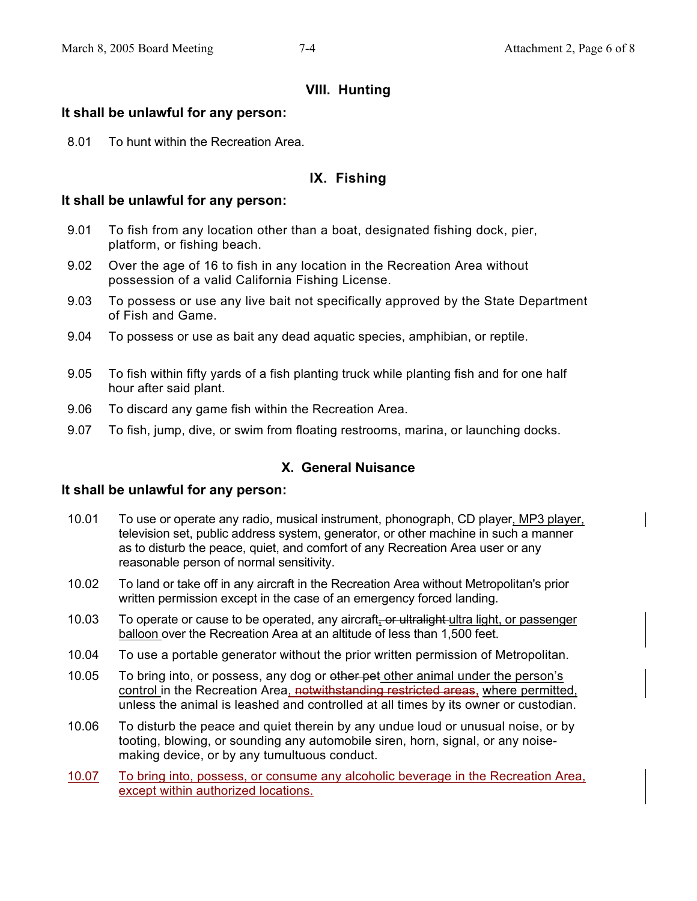## **VIII. Hunting**

### **It shall be unlawful for any person:**

8.01 To hunt within the Recreation Area.

## **IX. Fishing**

#### **It shall be unlawful for any person:**

- 9.01 To fish from any location other than a boat, designated fishing dock, pier, platform, or fishing beach.
- 9.02 Over the age of 16 to fish in any location in the Recreation Area without possession of a valid California Fishing License.
- 9.03 To possess or use any live bait not specifically approved by the State Department of Fish and Game.
- 9.04 To possess or use as bait any dead aquatic species, amphibian, or reptile.
- 9.05 To fish within fifty yards of a fish planting truck while planting fish and for one half hour after said plant.
- 9.06 To discard any game fish within the Recreation Area.
- 9.07 To fish, jump, dive, or swim from floating restrooms, marina, or launching docks.

## **X. General Nuisance**

- 10.01 To use or operate any radio, musical instrument, phonograph, CD player, MP3 player, television set, public address system, generator, or other machine in such a manner as to disturb the peace, quiet, and comfort of any Recreation Area user or any reasonable person of normal sensitivity.
- 10.02 To land or take off in any aircraft in the Recreation Area without Metropolitan's prior written permission except in the case of an emergency forced landing.
- 10.03 To operate or cause to be operated, any aircraft, or ultralight ultra light, or passenger balloon over the Recreation Area at an altitude of less than 1,500 feet.
- 10.04 To use a portable generator without the prior written permission of Metropolitan.
- 10.05 To bring into, or possess, any dog or ether pet other animal under the person's control in the Recreation Area, notwithstanding restricted areas, where permitted, unless the animal is leashed and controlled at all times by its owner or custodian.
- 10.06 To disturb the peace and quiet therein by any undue loud or unusual noise, or by tooting, blowing, or sounding any automobile siren, horn, signal, or any noisemaking device, or by any tumultuous conduct.
- 10.07 To bring into, possess, or consume any alcoholic beverage in the Recreation Area, except within authorized locations.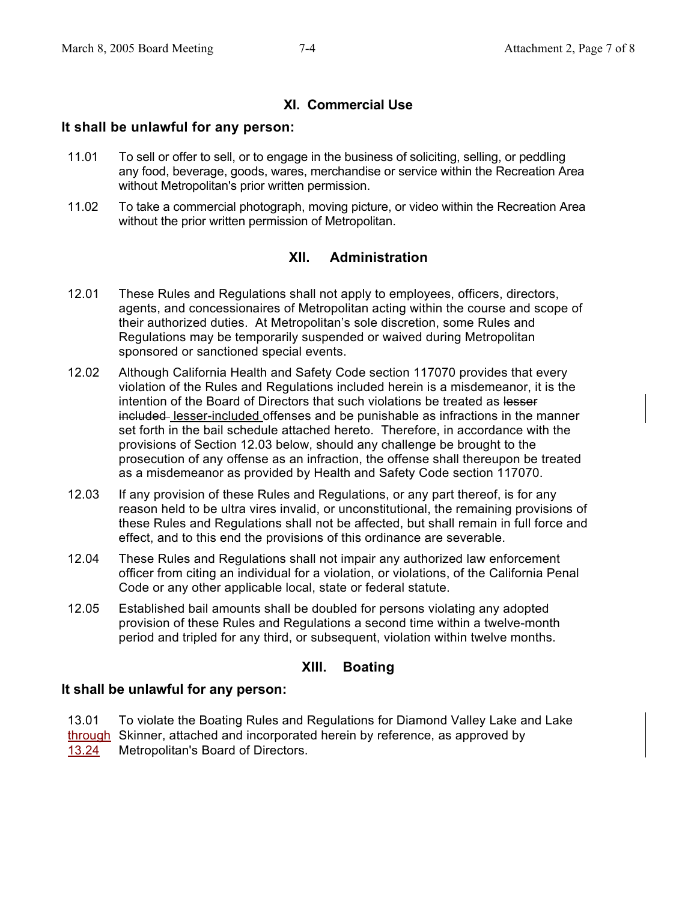## **XI. Commercial Use**

### **It shall be unlawful for any person:**

- 11.01 To sell or offer to sell, or to engage in the business of soliciting, selling, or peddling any food, beverage, goods, wares, merchandise or service within the Recreation Area without Metropolitan's prior written permission.
- 11.02 To take a commercial photograph, moving picture, or video within the Recreation Area without the prior written permission of Metropolitan.

## **XII. Administration**

- 12.01 These Rules and Regulations shall not apply to employees, officers, directors, agents, and concessionaires of Metropolitan acting within the course and scope of their authorized duties. At Metropolitan's sole discretion, some Rules and Regulations may be temporarily suspended or waived during Metropolitan sponsored or sanctioned special events.
- 12.02 Although California Health and Safety Code section 117070 provides that every violation of the Rules and Regulations included herein is a misdemeanor, it is the intention of the Board of Directors that such violations be treated as lesser included lesser-included offenses and be punishable as infractions in the manner set forth in the bail schedule attached hereto. Therefore, in accordance with the provisions of Section 12.03 below, should any challenge be brought to the prosecution of any offense as an infraction, the offense shall thereupon be treated as a misdemeanor as provided by Health and Safety Code section 117070.
- 12.03 If any provision of these Rules and Regulations, or any part thereof, is for any reason held to be ultra vires invalid, or unconstitutional, the remaining provisions of these Rules and Regulations shall not be affected, but shall remain in full force and effect, and to this end the provisions of this ordinance are severable.
- 12.04 These Rules and Regulations shall not impair any authorized law enforcement officer from citing an individual for a violation, or violations, of the California Penal Code or any other applicable local, state or federal statute.
- 12.05 Established bail amounts shall be doubled for persons violating any adopted provision of these Rules and Regulations a second time within a twelve-month period and tripled for any third, or subsequent, violation within twelve months.

## **XIII. Boating**

#### **It shall be unlawful for any person:**

13.01 through Skinner, attached and incorporated herein by reference, as approved by 13.24 To violate the Boating Rules and Regulations for Diamond Valley Lake and Lake Metropolitan's Board of Directors.